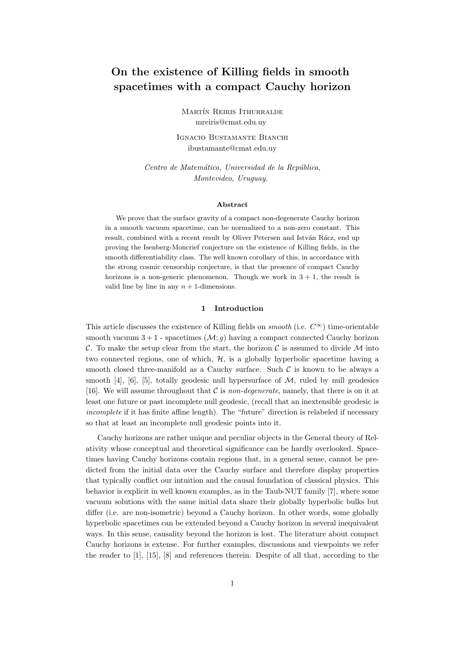# On the existence of Killing fields in smooth spacetimes with a compact Cauchy horizon

MARTÍN REIRIS ITHURRALDE mreiris@cmat.edu.uy

Ignacio Bustamante Bianchi ibustamante@cmat.edu.uy

Centro de Matemática, Universidad de la República, Montevideo, Uruguay.

#### Abstract

We prove that the surface gravity of a compact non-degenerate Cauchy horizon in a smooth vacuum spacetime, can be normalized to a non-zero constant. This result, combined with a recent result by Oliver Petersen and István Rácz, end up proving the Isenberg-Moncrief conjecture on the existence of Killing fields, in the smooth differentiability class. The well known corollary of this, in accordance with the strong cosmic censorship conjecture, is that the presence of compact Cauchy horizons is a non-generic phenomenon. Though we work in  $3 + 1$ , the result is valid line by line in any  $n + 1$ -dimensions.

### 1 Introduction

This article discusses the existence of Killing fields on *smooth* (i.e.  $C^{\infty}$ ) time-orientable smooth vacuum  $3 + 1$  - spacetimes  $(\mathcal{M}; q)$  having a compact connected Cauchy horizon C. To make the setup clear from the start, the horizon C is assumed to divide  $\mathcal M$  into two connected regions, one of which,  $H$ , is a globally hyperbolic spacetime having a smooth closed three-manifold as a Cauchy surface. Such  $\mathcal C$  is known to be always a smooth [4], [6], [5], totally geodesic null hypersurface of  $M$ , ruled by null geodesics [16]. We will assume throughout that  $\mathcal C$  is non-degenerate, namely, that there is on it at least one future or past incomplete null geodesic, (recall that an inextensible geodesic is incomplete if it has finite affine length). The "future" direction is relabeled if necessary so that at least an incomplete null geodesic points into it.

Cauchy horizons are rather unique and peculiar objects in the General theory of Relativity whose conceptual and theoretical significance can be hardly overlooked. Spacetimes having Cauchy horizons contain regions that, in a general sense, cannot be predicted from the initial data over the Cauchy surface and therefore display properties that typically conflict our intuition and the causal foundation of classical physics. This behavior is explicit in well known examples, as in the Taub-NUT family [7], where some vacuum solutions with the same initial data share their globally hyperbolic bulks but differ (i.e. are non-isometric) beyond a Cauchy horizon. In other words, some globally hyperbolic spacetimes can be extended beyond a Cauchy horizon in several inequivalent ways. In this sense, causality beyond the horizon is lost. The literature about compact Cauchy horizons is extense. For further examples, discussions and viewpoints we refer the reader to [1], [15], [8] and references therein. Despite of all that, according to the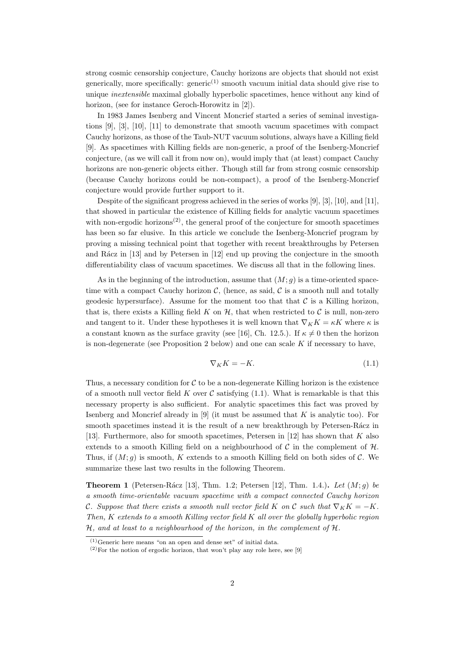strong cosmic censorship conjecture, Cauchy horizons are objects that should not exist generically, more specifically: generic<sup>(1)</sup> smooth vacuum initial data should give rise to unique inextensible maximal globally hyperbolic spacetimes, hence without any kind of horizon, (see for instance Geroch-Horowitz in [2]).

In 1983 James Isenberg and Vincent Moncrief started a series of seminal investigations [9], [3], [10], [11] to demonstrate that smooth vacuum spacetimes with compact Cauchy horizons, as those of the Taub-NUT vacuum solutions, always have a Killing field [9]. As spacetimes with Killing fields are non-generic, a proof of the Isenberg-Moncrief conjecture, (as we will call it from now on), would imply that (at least) compact Cauchy horizons are non-generic objects either. Though still far from strong cosmic censorship (because Cauchy horizons could be non-compact), a proof of the Isenberg-Moncrief conjecture would provide further support to it.

Despite of the significant progress achieved in the series of works [9], [3], [10], and [11], that showed in particular the existence of Killing fields for analytic vacuum spacetimes with non-ergodic horizons<sup> $(2)$ </sup>, the general proof of the conjecture for smooth spacetimes has been so far elusive. In this article we conclude the Isenberg-Moncrief program by proving a missing technical point that together with recent breakthroughs by Petersen and R $\acute{a}$ cz in [13] and by Petersen in [12] end up proving the conjecture in the smooth differentiability class of vacuum spacetimes. We discuss all that in the following lines.

As in the beginning of the introduction, assume that  $(M; g)$  is a time-oriented spacetime with a compact Cauchy horizon  $\mathcal{C}$ , (hence, as said,  $\mathcal{C}$  is a smooth null and totally geodesic hypersurface). Assume for the moment too that that  $\mathcal C$  is a Killing horizon, that is, there exists a Killing field K on  $H$ , that when restricted to C is null, non-zero and tangent to it. Under these hypotheses it is well known that  $\nabla_K K = \kappa K$  where  $\kappa$  is a constant known as the surface gravity (see [16], Ch. 12.5.). If  $\kappa \neq 0$  then the horizon is non-degenerate (see Proposition 2 below) and one can scale  $K$  if necessary to have,

$$
\nabla_K K = -K.\tag{1.1}
$$

Thus, a necessary condition for  $C$  to be a non-degenerate Killing horizon is the existence of a smooth null vector field K over C satisfying  $(1.1)$ . What is remarkable is that this necessary property is also sufficient. For analytic spacetimes this fact was proved by Isenberg and Moncrief already in  $[9]$  (it must be assumed that K is analytic too). For smooth spacetimes instead it is the result of a new breakthrough by Petersen-Rácz in [13]. Furthermore, also for smooth spacetimes, Petersen in [12] has shown that K also extends to a smooth Killing field on a neighbourhood of  $\mathcal C$  in the complement of  $\mathcal H$ . Thus, if  $(M; g)$  is smooth, K extends to a smooth Killing field on both sides of C. We summarize these last two results in the following Theorem.

**Theorem 1** (Petersen-Rácz [13], Thm. 1.2; Petersen [12], Thm. 1.4.). Let  $(M; q)$  be a smooth time-orientable vacuum spacetime with a compact connected Cauchy horizon C. Suppose that there exists a smooth null vector field K on C such that  $\nabla_K K = -K$ . Then,  $K$  extends to a smooth Killing vector field  $K$  all over the globally hyperbolic region  $H$ , and at least to a neighbourhood of the horizon, in the complement of  $H$ .

 $(1)$ Generic here means "on an open and dense set" of initial data.

 $(2)$  For the notion of ergodic horizon, that won't play any role here, see [9]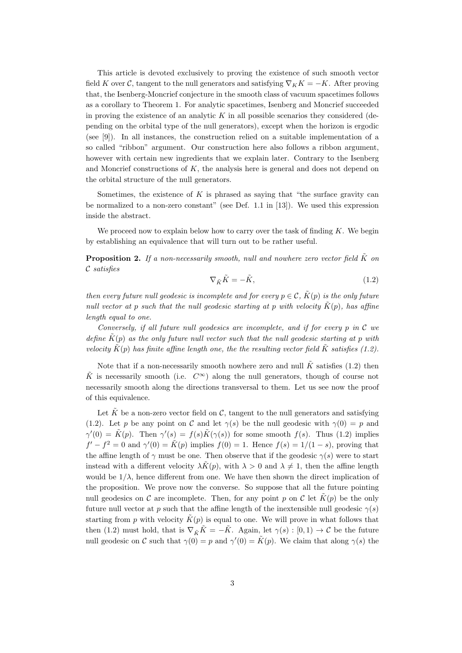This article is devoted exclusively to proving the existence of such smooth vector field K over C, tangent to the null generators and satisfying  $\nabla_K K = -K$ . After proving that, the Isenberg-Moncrief conjecture in the smooth class of vacuum spacetimes follows as a corollary to Theorem 1. For analytic spacetimes, Isenberg and Moncrief succeeded in proving the existence of an analytic  $K$  in all possible scenarios they considered (depending on the orbital type of the null generators), except when the horizon is ergodic (see [9]). In all instances, the construction relied on a suitable implementation of a so called "ribbon" argument. Our construction here also follows a ribbon argument, however with certain new ingredients that we explain later. Contrary to the Isenberg and Moncrief constructions of  $K$ , the analysis here is general and does not depend on the orbital structure of the null generators.

Sometimes, the existence of  $K$  is phrased as saying that "the surface gravity can be normalized to a non-zero constant" (see Def. 1.1 in [13]). We used this expression inside the abstract.

We proceed now to explain below how to carry over the task of finding  $K$ . We begin by establishing an equivalence that will turn out to be rather useful.

**Proposition 2.** If a non-necessarily smooth, null and nowhere zero vector field  $\tilde{K}$  on C satisfies

$$
\nabla_{\tilde{K}} \tilde{K} = -\tilde{K},\tag{1.2}
$$

then every future null geodesic is incomplete and for every  $p \in \mathcal{C}$ .  $\tilde{K}(p)$  is the only future null vector at p such that the null geodesic starting at p with velocity  $\tilde{K}(p)$ , has affine length equal to one.

Conversely, if all future null geodesics are incomplete, and if for every p in  $\mathcal C$  we define  $\tilde{K}(p)$  as the only future null vector such that the null geodesic starting at p with velocity  $\tilde{K}(p)$  has finite affine length one, the the resulting vector field  $\tilde{K}$  satisfies (1.2).

Note that if a non-necessarily smooth nowhere zero and null  $\tilde{K}$  satisfies (1.2) then  $\tilde{K}$  is necessarily smooth (i.e.  $C^{\infty}$ ) along the null generators, though of course not necessarily smooth along the directions transversal to them. Let us see now the proof of this equivalence.

Let  $\tilde{K}$  be a non-zero vector field on C, tangent to the null generators and satisfying (1.2). Let p be any point on C and let  $\gamma(s)$  be the null geodesic with  $\gamma(0) = p$  and  $\gamma'(0) = \tilde{K}(p)$ . Then  $\gamma'(s) = f(s)\tilde{K}(\gamma(s))$  for some smooth  $f(s)$ . Thus (1.2) implies  $f' - f^2 = 0$  and  $\gamma'(0) = \tilde{K}(p)$  implies  $f(0) = 1$ . Hence  $f(s) = 1/(1-s)$ , proving that the affine length of  $\gamma$  must be one. Then observe that if the geodesic  $\gamma(s)$  were to start instead with a different velocity  $\lambda \tilde{K}(p)$ , with  $\lambda > 0$  and  $\lambda \neq 1$ , then the affine length would be  $1/\lambda$ , hence different from one. We have then shown the direct implication of the proposition. We prove now the converse. So suppose that all the future pointing null geodesics on C are incomplete. Then, for any point p on C let  $\tilde{K}(p)$  be the only future null vector at p such that the affine length of the inextensible null geodesic  $\gamma(s)$ starting from p with velocity  $K(p)$  is equal to one. We will prove in what follows that then (1.2) must hold, that is  $\nabla_{\tilde{K}} \tilde{K} = -\tilde{K}$ . Again, let  $\gamma(s) : [0,1) \to \mathcal{C}$  be the future null geodesic on C such that  $\gamma(0) = p$  and  $\gamma'(0) = \tilde{K}(p)$ . We claim that along  $\gamma(s)$  the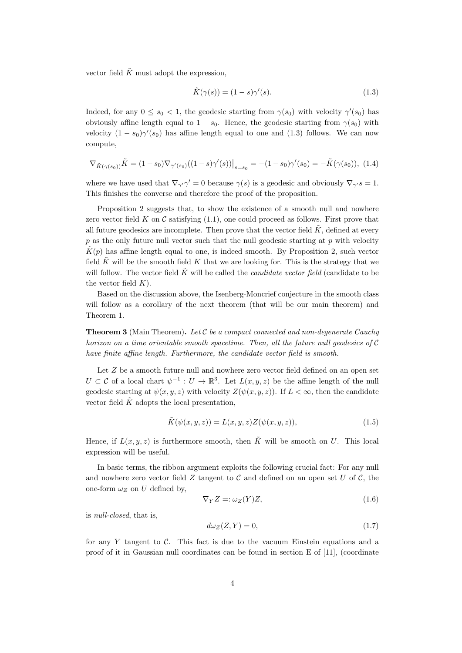vector field  $\tilde{K}$  must adopt the expression,

$$
\tilde{K}(\gamma(s)) = (1 - s)\gamma'(s). \tag{1.3}
$$

Indeed, for any  $0 \leq s_0 < 1$ , the geodesic starting from  $\gamma(s_0)$  with velocity  $\gamma'(s_0)$  has obviously affine length equal to  $1 - s_0$ . Hence, the geodesic starting from  $\gamma(s_0)$  with velocity  $(1 - s_0) \gamma'(s_0)$  has affine length equal to one and (1.3) follows. We can now compute,

$$
\nabla_{\tilde{K}(\gamma(s_0))}\tilde{K} = (1 - s_0)\nabla_{\gamma'(s_0)}((1 - s)\gamma'(s))\big|_{s = s_0} = -(1 - s_0)\gamma'(s_0) = -\tilde{K}(\gamma(s_0)), \tag{1.4}
$$

where we have used that  $\nabla_{\gamma'}\gamma'=0$  because  $\gamma(s)$  is a geodesic and obviously  $\nabla_{\gamma'}s=1$ . This finishes the converse and therefore the proof of the proposition.

Proposition 2 suggests that, to show the existence of a smooth null and nowhere zero vector field K on C satisfying  $(1.1)$ , one could proceed as follows. First prove that all future geodesics are incomplete. Then prove that the vector field  $\tilde{K}$ , defined at every  $p$  as the only future null vector such that the null geodesic starting at  $p$  with velocity  $\tilde{K}(p)$  has affine length equal to one, is indeed smooth. By Proposition 2, such vector field  $\tilde{K}$  will be the smooth field K that we are looking for. This is the strategy that we will follow. The vector field  $\tilde{K}$  will be called the *candidate vector field* (candidate to be the vector field  $K$ ).

Based on the discussion above, the Isenberg-Moncrief conjecture in the smooth class will follow as a corollary of the next theorem (that will be our main theorem) and Theorem 1.

**Theorem 3** (Main Theorem). Let  $C$  be a compact connected and non-degenerate Cauchy horizon on a time orientable smooth spacetime. Then, all the future null geodesics of C have finite affine length. Furthermore, the candidate vector field is smooth.

Let  $Z$  be a smooth future null and nowhere zero vector field defined on an open set  $U \subset \mathcal{C}$  of a local chart  $\psi^{-1}: U \to \mathbb{R}^3$ . Let  $L(x, y, z)$  be the affine length of the null geodesic starting at  $\psi(x, y, z)$  with velocity  $Z(\psi(x, y, z))$ . If  $L < \infty$ , then the candidate vector field  $\tilde{K}$  adopts the local presentation,

$$
\tilde{K}(\psi(x,y,z)) = L(x,y,z)Z(\psi(x,y,z)),\tag{1.5}
$$

Hence, if  $L(x, y, z)$  is furthermore smooth, then  $\tilde{K}$  will be smooth on U. This local expression will be useful.

In basic terms, the ribbon argument exploits the following crucial fact: For any null and nowhere zero vector field  $Z$  tangent to  $C$  and defined on an open set  $U$  of  $C$ , the one-form  $\omega_Z$  on U defined by,

$$
\nabla_Y Z = \omega_Z(Y) Z,\tag{1.6}
$$

is null-closed, that is,

$$
d\omega_Z(Z, Y) = 0,\t\t(1.7)
$$

for any Y tangent to C. This fact is due to the vacuum Einstein equations and a proof of it in Gaussian null coordinates can be found in section E of [11], (coordinate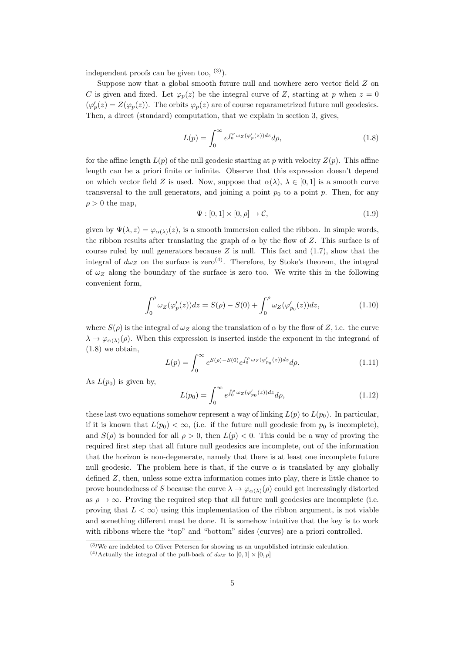independent proofs can be given too,  $(3)$ ).

Suppose now that a global smooth future null and nowhere zero vector field  $Z$  on C is given and fixed. Let  $\varphi_p(z)$  be the integral curve of Z, starting at p when  $z = 0$  $(\varphi_p'(z) = Z(\varphi_p(z))$ . The orbits  $\varphi_p(z)$  are of course reparametrized future null geodesics. Then, a direct (standard) computation, that we explain in section 3, gives,

$$
L(p) = \int_0^\infty e^{\int_0^p \omega_z(\varphi_p'(z))dz} d\rho,\tag{1.8}
$$

for the affine length  $L(p)$  of the null geodesic starting at p with velocity  $Z(p)$ . This affine length can be a priori finite or infinite. Observe that this expression doesn't depend on which vector field Z is used. Now, suppose that  $\alpha(\lambda)$ ,  $\lambda \in [0,1]$  is a smooth curve transversal to the null generators, and joining a point  $p_0$  to a point p. Then, for any  $\rho > 0$  the map,

$$
\Psi : [0,1] \times [0,\rho] \to \mathcal{C},\tag{1.9}
$$

given by  $\Psi(\lambda, z) = \varphi_{\alpha(\lambda)}(z)$ , is a smooth immersion called the ribbon. In simple words, the ribbon results after translating the graph of  $\alpha$  by the flow of Z. This surface is of course ruled by null generators because  $Z$  is null. This fact and  $(1.7)$ , show that the integral of  $d\omega_Z$  on the surface is zero<sup>(4)</sup>. Therefore, by Stoke's theorem, the integral of  $\omega_Z$  along the boundary of the surface is zero too. We write this in the following convenient form,

$$
\int_0^{\rho} \omega_Z(\varphi_p'(z)) dz = S(\rho) - S(0) + \int_0^{\rho} \omega_Z(\varphi_{p_0}'(z)) dz,
$$
\n(1.10)

where  $S(\rho)$  is the integral of  $\omega_Z$  along the translation of  $\alpha$  by the flow of Z, i.e. the curve  $\lambda \to \varphi_{\alpha(\lambda)}(\rho)$ . When this expression is inserted inside the exponent in the integrand of (1.8) we obtain,

$$
L(p) = \int_0^\infty e^{S(\rho) - S(0)} e^{\int_0^\rho \omega_Z(\varphi_{p_0}'(z)) dz} d\rho.
$$
 (1.11)

As  $L(p_0)$  is given by,

$$
L(p_0) = \int_0^\infty e^{\int_0^{\rho} \omega_Z(\varphi_{p_0}'(z))dz} d\rho,
$$
\n(1.12)

these last two equations somehow represent a way of linking  $L(p)$  to  $L(p_0)$ . In particular, if it is known that  $L(p_0) < \infty$ , (i.e. if the future null geodesic from  $p_0$  is incomplete), and  $S(\rho)$  is bounded for all  $\rho > 0$ , then  $L(p) < 0$ . This could be a way of proving the required first step that all future null geodesics are incomplete, out of the information that the horizon is non-degenerate, namely that there is at least one incomplete future null geodesic. The problem here is that, if the curve  $\alpha$  is translated by any globally defined Z, then, unless some extra information comes into play, there is little chance to prove boundedness of S because the curve  $\lambda \to \varphi_{\alpha(\lambda)}(\rho)$  could get increasingly distorted as  $\rho \rightarrow \infty$ . Proving the required step that all future null geodesics are incomplete (i.e. proving that  $L < \infty$ ) using this implementation of the ribbon argument, is not viable and something different must be done. It is somehow intuitive that the key is to work with ribbons where the "top" and "bottom" sides (curves) are a priori controlled.

 $(3)$ We are indebted to Oliver Petersen for showing us an unpublished intrinsic calculation.

<sup>&</sup>lt;sup>(4)</sup>Actually the integral of the pull-back of  $d\omega_Z$  to  $[0, 1] \times [0, \rho]$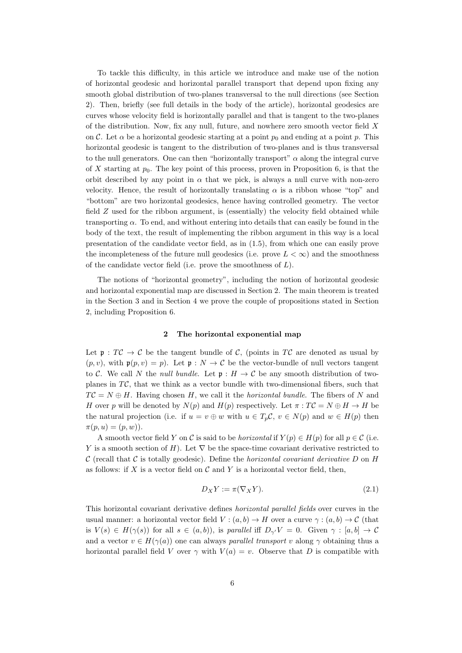To tackle this difficulty, in this article we introduce and make use of the notion of horizontal geodesic and horizontal parallel transport that depend upon fixing any smooth global distribution of two-planes transversal to the null directions (see Section 2). Then, briefly (see full details in the body of the article), horizontal geodesics are curves whose velocity field is horizontally parallel and that is tangent to the two-planes of the distribution. Now, fix any null, future, and nowhere zero smooth vector field X on C. Let  $\alpha$  be a horizontal geodesic starting at a point  $p_0$  and ending at a point p. This horizontal geodesic is tangent to the distribution of two-planes and is thus transversal to the null generators. One can then "horizontally transport"  $\alpha$  along the integral curve of X starting at  $p_0$ . The key point of this process, proven in Proposition 6, is that the orbit described by any point in  $\alpha$  that we pick, is always a null curve with non-zero velocity. Hence, the result of horizontally translating  $\alpha$  is a ribbon whose "top" and "bottom" are two horizontal geodesics, hence having controlled geometry. The vector field Z used for the ribbon argument, is (essentially) the velocity field obtained while transporting  $\alpha$ . To end, and without entering into details that can easily be found in the body of the text, the result of implementing the ribbon argument in this way is a local presentation of the candidate vector field, as in (1.5), from which one can easily prove the incompleteness of the future null geodesics (i.e. prove  $L < \infty$ ) and the smoothness of the candidate vector field (i.e. prove the smoothness of  $L$ ).

The notions of "horizontal geometry", including the notion of horizontal geodesic and horizontal exponential map are discussed in Section 2. The main theorem is treated in the Section 3 and in Section 4 we prove the couple of propositions stated in Section 2, including Proposition 6.

#### 2 The horizontal exponential map

Let  $\mathfrak{p}: T\mathcal{C} \to \mathcal{C}$  be the tangent bundle of  $\mathcal{C}$ , (points in T $\mathcal{C}$  are denoted as usual by  $(p, v)$ , with  $\mathfrak{p}(p, v) = p$ . Let  $\mathfrak{p} : N \to \mathcal{C}$  be the vector-bundle of null vectors tangent to C. We call N the *null bundle*. Let  $\mathfrak{p}: H \to \mathcal{C}$  be any smooth distribution of twoplanes in  $T\mathcal{C}$ , that we think as a vector bundle with two-dimensional fibers, such that  $TC = N \oplus H$ . Having chosen H, we call it the *horizontal bundle*. The fibers of N and H over p will be denoted by  $N(p)$  and  $H(p)$  respectively. Let  $\pi : T\mathcal{C} = N \oplus H \to H$  be the natural projection (i.e. if  $u = v \oplus w$  with  $u \in T_p \mathcal{C}$ ,  $v \in N(p)$  and  $w \in H(p)$  then  $\pi(p, u) = (p, w)$ .

A smooth vector field Y on C is said to be *horizontal* if  $Y(p) \in H(p)$  for all  $p \in C$  (i.e. Y is a smooth section of H). Let  $\nabla$  be the space-time covariant derivative restricted to C (recall that C is totally geodesic). Define the *horizontal covariant derivative* D on H as follows: if X is a vector field on  $\mathcal C$  and Y is a horizontal vector field, then,

$$
D_X Y := \pi(\nabla_X Y). \tag{2.1}
$$

This horizontal covariant derivative defines horizontal parallel fields over curves in the usual manner: a horizontal vector field  $V : (a, b) \to H$  over a curve  $\gamma : (a, b) \to C$  (that is  $V(s) \in H(\gamma(s))$  for all  $s \in (a, b)$ , is parallel iff  $D_{\gamma'}V = 0$ . Given  $\gamma : [a, b] \to \mathcal{C}$ and a vector  $v \in H(\gamma(a))$  one can always parallel transport v along  $\gamma$  obtaining thus a horizontal parallel field V over  $\gamma$  with  $V(a) = v$ . Observe that D is compatible with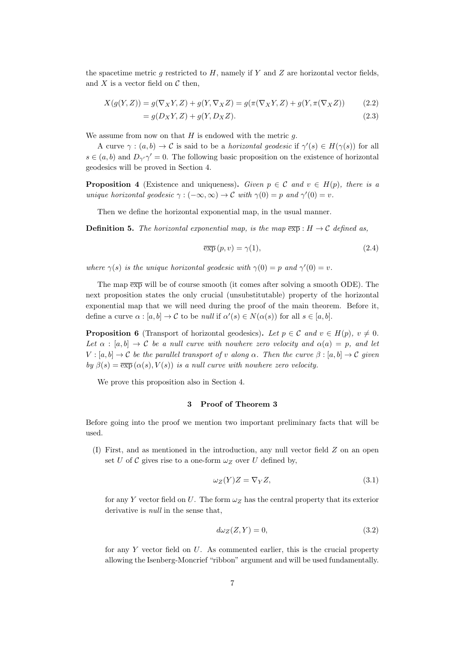the spacetime metric g restricted to  $H$ , namely if Y and Z are horizontal vector fields, and  $X$  is a vector field on  $\mathcal C$  then,

$$
X(g(Y,Z)) = g(\nabla_X Y, Z) + g(Y, \nabla_X Z) = g(\pi(\nabla_X Y, Z) + g(Y, \pi(\nabla_X Z))
$$
\n(2.2)

$$
= g(D_X Y, Z) + g(Y, D_X Z). \tag{2.3}
$$

We assume from now on that  $H$  is endowed with the metric  $q$ .

A curve  $\gamma : (a, b) \to \mathcal{C}$  is said to be a *horizontal geodesic* if  $\gamma'(s) \in H(\gamma(s))$  for all  $s \in (a, b)$  and  $D_{\gamma'}\gamma' = 0$ . The following basic proposition on the existence of horizontal geodesics will be proved in Section 4.

**Proposition 4** (Existence and uniqueness). Given  $p \in \mathcal{C}$  and  $v \in H(p)$ , there is a unique horizontal geodesic  $\gamma : (-\infty, \infty) \to \mathcal{C}$  with  $\gamma(0) = p$  and  $\gamma'(0) = v$ .

Then we define the horizontal exponential map, in the usual manner.

**Definition 5.** The horizontal exponential map, is the map  $\overline{exp}$ :  $H \rightarrow C$  defined as,

$$
\overline{\exp}\left(p,v\right) = \gamma(1),\tag{2.4}
$$

where  $\gamma(s)$  is the unique horizontal geodesic with  $\gamma(0) = p$  and  $\gamma'(0) = v$ .

The map  $\overline{exp}$  will be of course smooth (it comes after solving a smooth ODE). The next proposition states the only crucial (unsubstitutable) property of the horizontal exponential map that we will need during the proof of the main theorem. Before it, define a curve  $\alpha : [a, b] \to \mathcal{C}$  to be *null* if  $\alpha'(s) \in N(\alpha(s))$  for all  $s \in [a, b]$ .

**Proposition 6** (Transport of horizontal geodesics). Let  $p \in \mathcal{C}$  and  $v \in H(p)$ ,  $v \neq 0$ . Let  $\alpha : [a, b] \to \mathcal{C}$  be a null curve with nowhere zero velocity and  $\alpha(a) = p$ , and let  $V : [a, b] \to \mathcal{C}$  be the parallel transport of v along  $\alpha$ . Then the curve  $\beta : [a, b] \to \mathcal{C}$  given by  $\beta(s) = \overline{\exp{(\alpha(s), V(s))}}$  is a null curve with nowhere zero velocity.

We prove this proposition also in Section 4.

## 3 Proof of Theorem 3

Before going into the proof we mention two important preliminary facts that will be used.

(I) First, and as mentioned in the introduction, any null vector field Z on an open set U of C gives rise to a one-form  $\omega_Z$  over U defined by,

$$
\omega_Z(Y)Z = \nabla_Y Z,\tag{3.1}
$$

for any Y vector field on U. The form  $\omega_Z$  has the central property that its exterior derivative is *null* in the sense that,

$$
d\omega_Z(Z, Y) = 0,\t\t(3.2)
$$

for any  $Y$  vector field on  $U$ . As commented earlier, this is the crucial property allowing the Isenberg-Moncrief "ribbon" argument and will be used fundamentally.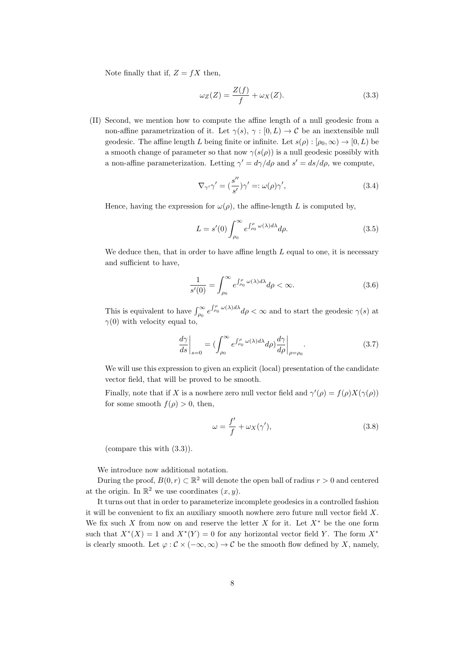Note finally that if,  $Z = fX$  then,

$$
\omega_Z(Z) = \frac{Z(f)}{f} + \omega_X(Z). \tag{3.3}
$$

(II) Second, we mention how to compute the affine length of a null geodesic from a non-affine parametrization of it. Let  $\gamma(s)$ ,  $\gamma : [0, L) \to \mathcal{C}$  be an inextensible null geodesic. The affine length L being finite or infinite. Let  $s(\rho): [\rho_0, \infty) \to [0, L)$  be a smooth change of parameter so that now  $\gamma(s(\rho))$  is a null geodesic possibly with a non-affine parameterization. Letting  $\gamma' = d\gamma/d\rho$  and  $s' = ds/d\rho$ , we compute,

$$
\nabla_{\gamma'}\gamma' = \left(\frac{s''}{s'}\right)\gamma' =: \omega(\rho)\gamma',\tag{3.4}
$$

Hence, having the expression for  $\omega(\rho)$ , the affine-length L is computed by,

$$
L = s'(0) \int_{\rho_0}^{\infty} e^{\int_{\rho_0}^{\rho} \omega(\lambda) d\lambda} d\rho.
$$
 (3.5)

We deduce then, that in order to have affine length  $L$  equal to one, it is necessary and sufficient to have,

$$
\frac{1}{s'(0)} = \int_{\rho_0}^{\infty} e^{\int_{\rho_0}^{\rho} \omega(\lambda) d\lambda} d\rho < \infty.
$$
 (3.6)

This is equivalent to have  $\int_{\rho_0}^{\infty} e^{\int_{\rho_0}^{\rho} \omega(\lambda) d\lambda} d\rho < \infty$  and to start the geodesic  $\gamma(s)$  at  $\gamma(0)$  with velocity equal to,

$$
\left. \frac{d\gamma}{ds} \right|_{s=0} = \left( \int_{\rho_0}^{\infty} e^{\int_{\rho_0}^{\rho} \omega(\lambda) d\lambda} d\rho \right) \frac{d\gamma}{d\rho} \bigg|_{\rho=\rho_0} . \tag{3.7}
$$

We will use this expression to given an explicit (local) presentation of the candidate vector field, that will be proved to be smooth.

Finally, note that if X is a nowhere zero null vector field and  $\gamma'(\rho) = f(\rho)X(\gamma(\rho))$ for some smooth  $f(\rho) > 0$ , then,

$$
\omega = \frac{f'}{f} + \omega_X(\gamma'),\tag{3.8}
$$

(compare this with (3.3)).

We introduce now additional notation.

During the proof,  $B(0, r) \subset \mathbb{R}^2$  will denote the open ball of radius  $r > 0$  and centered at the origin. In  $\mathbb{R}^2$  we use coordinates  $(x, y)$ .

It turns out that in order to parameterize incomplete geodesics in a controlled fashion it will be convenient to fix an auxiliary smooth nowhere zero future null vector field  $X$ . We fix such X from now on and reserve the letter X for it. Let  $X^*$  be the one form such that  $X^*(X) = 1$  and  $X^*(Y) = 0$  for any horizontal vector field Y. The form  $X^*$ is clearly smooth. Let  $\varphi : \mathcal{C} \times (-\infty, \infty) \to \mathcal{C}$  be the smooth flow defined by X, namely,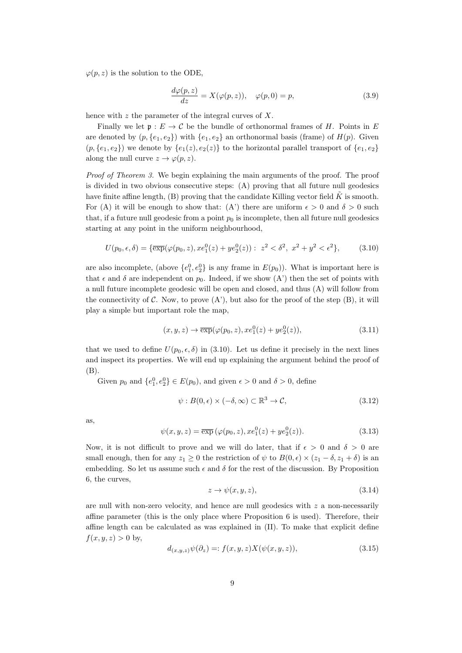$\varphi(p, z)$  is the solution to the ODE,

$$
\frac{d\varphi(p,z)}{dz} = X(\varphi(p,z)), \quad \varphi(p,0) = p,
$$
\n(3.9)

hence with z the parameter of the integral curves of  $X$ .

Finally we let  $\mathfrak{p}: E \to \mathcal{C}$  be the bundle of orthonormal frames of H. Points in E are denoted by  $(p, \{e_1, e_2\})$  with  $\{e_1, e_2\}$  an orthonormal basis (frame) of  $H(p)$ . Given  $(p, \{e_1, e_2\})$  we denote by  $\{e_1(z), e_2(z)\}\)$  to the horizontal parallel transport of  $\{e_1, e_2\}$ along the null curve  $z \to \varphi(p, z)$ .

Proof of Theorem 3. We begin explaining the main arguments of the proof. The proof is divided in two obvious consecutive steps: (A) proving that all future null geodesics have finite affine length,  $(B)$  proving that the candidate Killing vector field  $\tilde{K}$  is smooth. For (A) it will be enough to show that: (A') there are uniform  $\epsilon > 0$  and  $\delta > 0$  such that, if a future null geodesic from a point  $p_0$  is incomplete, then all future null geodesics starting at any point in the uniform neighbourhood,

$$
U(p_0, \epsilon, \delta) = \{ \overline{\exp}(\varphi(p_0, z), x e_1^0(z) + y e_2^0(z)) : z^2 < \delta^2, x^2 + y^2 < \epsilon^2 \},
$$
 (3.10)

are also incomplete, (above  $\{e_1^0, e_2^0\}$  is any frame in  $E(p_0)$ ). What is important here is that  $\epsilon$  and  $\delta$  are independent on  $p_0$ . Indeed, if we show  $(A')$  then the set of points with a null future incomplete geodesic will be open and closed, and thus (A) will follow from the connectivity of C. Now, to prove  $(A')$ , but also for the proof of the step  $(B)$ , it will play a simple but important role the map,

$$
(x, y, z) \to \overline{\exp}(\varphi(p_0, z), x e_1^0(z) + y e_2^0(z)), \tag{3.11}
$$

that we used to define  $U(p_0, \epsilon, \delta)$  in (3.10). Let us define it precisely in the next lines and inspect its properties. We will end up explaining the argument behind the proof of (B).

Given  $p_0$  and  $\{e_1^0, e_2^0\} \in E(p_0)$ , and given  $\epsilon > 0$  and  $\delta > 0$ , define

$$
\psi: B(0, \epsilon) \times (-\delta, \infty) \subset \mathbb{R}^3 \to \mathcal{C}, \tag{3.12}
$$

as,

$$
\psi(x, y, z) = \overline{\exp}(\varphi(p_0, z), x e_1^0(z) + y e_2^0(z)).
$$
\n(3.13)

Now, it is not difficult to prove and we will do later, that if  $\epsilon > 0$  and  $\delta > 0$  are small enough, then for any  $z_1 \geq 0$  the restriction of  $\psi$  to  $B(0, \epsilon) \times (z_1 - \delta, z_1 + \delta)$  is an embedding. So let us assume such  $\epsilon$  and  $\delta$  for the rest of the discussion. By Proposition 6, the curves,

$$
z \to \psi(x, y, z), \tag{3.14}
$$

are null with non-zero velocity, and hence are null geodesics with  $z$  a non-necessarily affine parameter (this is the only place where Proposition 6 is used). Therefore, their affine length can be calculated as was explained in (II). To make that explicit define  $f(x, y, z) > 0$  by,

$$
d_{(x,y,z)}\psi(\partial_z) =: f(x,y,z)X(\psi(x,y,z)),\tag{3.15}
$$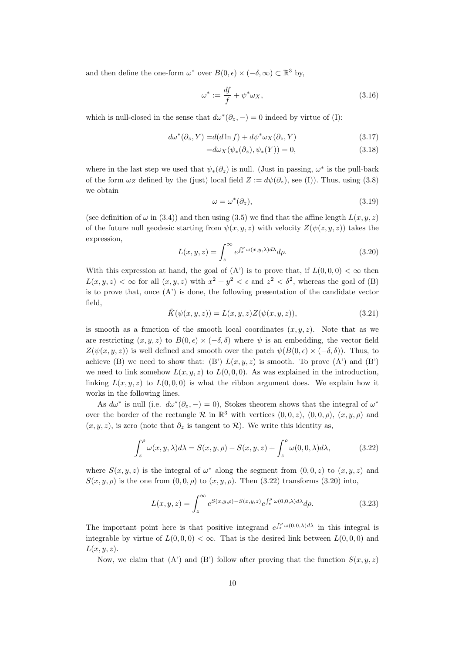and then define the one-form  $\omega^*$  over  $B(0, \epsilon) \times (-\delta, \infty) \subset \mathbb{R}^3$  by,

$$
\omega^* := \frac{df}{f} + \psi^* \omega_X,\tag{3.16}
$$

which is null-closed in the sense that  $d\omega^*(\partial_z, -) = 0$  indeed by virtue of (I):

$$
d\omega^*(\partial_z, Y) = d(d\ln f) + d\psi^*\omega_X(\partial_z, Y) \tag{3.17}
$$

$$
=d\omega_X(\psi_*(\partial_z),\psi_*(Y))=0,
$$
\n(3.18)

where in the last step we used that  $\psi_*(\partial_z)$  is null. (Just in passing,  $\omega^*$  is the pull-back of the form  $\omega_Z$  defined by the (just) local field  $Z := d\psi(\partial_z)$ , see (I)). Thus, using (3.8) we obtain

$$
\omega = \omega^*(\partial_z),\tag{3.19}
$$

(see definition of  $\omega$  in (3.4)) and then using (3.5) we find that the affine length  $L(x, y, z)$ of the future null geodesic starting from  $\psi(x, y, z)$  with velocity  $Z(\psi(z, y, z))$  takes the expression,

$$
L(x, y, z) = \int_{z}^{\infty} e^{\int_{z}^{\rho} \omega(x, y, \lambda) d\lambda} d\rho.
$$
 (3.20)

With this expression at hand, the goal of  $(A')$  is to prove that, if  $L(0,0,0) < \infty$  then  $L(x, y, z) < \infty$  for all  $(x, y, z)$  with  $x^2 + y^2 < \epsilon$  and  $z^2 < \delta^2$ , whereas the goal of (B) is to prove that, once  $(A')$  is done, the following presentation of the candidate vector field,

$$
\tilde{K}(\psi(x,y,z)) = L(x,y,z)Z(\psi(x,y,z)),\tag{3.21}
$$

is smooth as a function of the smooth local coordinates  $(x, y, z)$ . Note that as we are restricting  $(x, y, z)$  to  $B(0, \epsilon) \times (-\delta, \delta)$  where  $\psi$  is an embedding, the vector field  $Z(\psi(x, y, z))$  is well defined and smooth over the patch  $\psi(B(0, \epsilon) \times (-\delta, \delta))$ . Thus, to achieve (B) we need to show that: (B')  $L(x, y, z)$  is smooth. To prove  $(A')$  and  $(B')$ we need to link somehow  $L(x, y, z)$  to  $L(0, 0, 0)$ . As was explained in the introduction, linking  $L(x, y, z)$  to  $L(0, 0, 0)$  is what the ribbon argument does. We explain how it works in the following lines.

As  $d\omega^*$  is null (i.e.  $d\omega^*(\partial_z, -) = 0$ ), Stokes theorem shows that the integral of  $\omega^*$ over the border of the rectangle  $\mathcal R$  in  $\mathbb R^3$  with vertices  $(0,0,z)$ ,  $(0,0,\rho)$ ,  $(x,y,\rho)$  and  $(x, y, z)$ , is zero (note that  $\partial_z$  is tangent to  $\mathcal{R}$ ). We write this identity as,

$$
\int_{z}^{\rho} \omega(x, y, \lambda) d\lambda = S(x, y, \rho) - S(x, y, z) + \int_{z}^{\rho} \omega(0, 0, \lambda) d\lambda,
$$
 (3.22)

where  $S(x, y, z)$  is the integral of  $\omega^*$  along the segment from  $(0, 0, z)$  to  $(x, y, z)$  and  $S(x, y, \rho)$  is the one from  $(0, 0, \rho)$  to  $(x, y, \rho)$ . Then  $(3.22)$  transforms  $(3.20)$  into,

$$
L(x,y,z) = \int_{z}^{\infty} e^{S(x,y,\rho) - S(x,y,z)} e^{\int_{z}^{\rho} \omega(0,0,\lambda)d\lambda} d\rho.
$$
 (3.23)

The important point here is that positive integrand  $e^{\int_z^{\rho} \omega(0,0,\lambda) d\lambda}$  in this integral is integrable by virtue of  $L(0, 0, 0) < \infty$ . That is the desired link between  $L(0, 0, 0)$  and  $L(x, y, z)$ .

Now, we claim that (A') and (B') follow after proving that the function  $S(x, y, z)$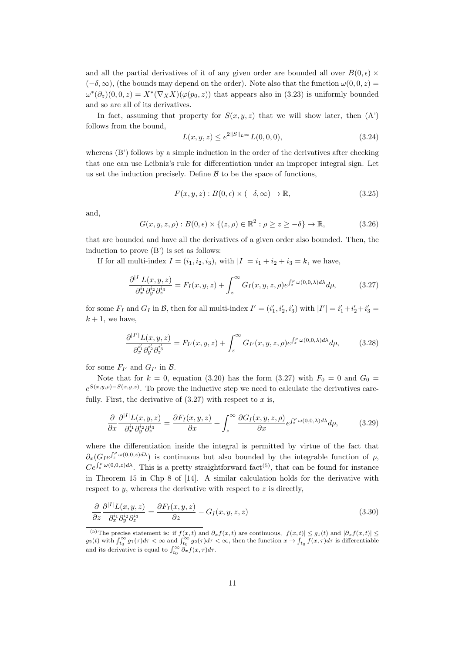and all the partial derivatives of it of any given order are bounded all over  $B(0, \epsilon) \times$  $(-\delta, \infty)$ , (the bounds may depend on the order). Note also that the function  $\omega(0, 0, z)$  =  $\omega^*(\partial_z)(0,0,z) = X^*(\nabla_X X)(\varphi(p_0,z))$  that appears also in (3.23) is uniformly bounded and so are all of its derivatives.

In fact, assuming that property for  $S(x, y, z)$  that we will show later, then  $(A')$ follows from the bound,

$$
L(x, y, z) \le e^{2||S||_{L^{\infty}}} L(0, 0, 0),
$$
\n(3.24)

whereas (B') follows by a simple induction in the order of the derivatives after checking that one can use Leibniz's rule for differentiation under an improper integral sign. Let us set the induction precisely. Define  $\beta$  to be the space of functions,

$$
F(x, y, z) : B(0, \epsilon) \times (-\delta, \infty) \to \mathbb{R}, \tag{3.25}
$$

and,

$$
G(x, y, z, \rho): B(0, \epsilon) \times \{(z, \rho) \in \mathbb{R}^2 : \rho \ge z \ge -\delta\} \to \mathbb{R},
$$
\n(3.26)

that are bounded and have all the derivatives of a given order also bounded. Then, the induction to prove (B') is set as follows:

If for all multi-index  $I = (i_1, i_2, i_3)$ , with  $|I| = i_1 + i_2 + i_3 = k$ , we have,

$$
\frac{\partial^{|I|} L(x, y, z)}{\partial_x^{i_1} \partial_y^{i_2} \partial_z^{i_3}} = F_I(x, y, z) + \int_z^{\infty} G_I(x, y, z, \rho) e^{\int_z^{\rho} \omega(0, 0, \lambda) d\lambda} d\rho, \tag{3.27}
$$

for some  $F_I$  and  $G_I$  in  $\mathcal{B}$ , then for all multi-index  $I' = (i'_1, i'_2, i'_3)$  with  $|I'| = i'_1 + i'_2 + i'_3 =$  $k + 1$ , we have,

$$
\frac{\partial^{|I'|} L(x, y, z)}{\partial_x^{i_1'} \partial_y^{i_2'} \partial_z^{i_3'}} = F_{I'}(x, y, z) + \int_z^{\infty} G_{I'}(x, y, z, \rho) e^{\int_z^{\rho} \omega(0, 0, \lambda) d\lambda} d\rho, \tag{3.28}
$$

for some  $F_{I'}$  and  $G_{I'}$  in  $\mathcal{B}$ .

Note that for  $k = 0$ , equation (3.20) has the form (3.27) with  $F_0 = 0$  and  $G_0 =$  $e^{S(x,y,\rho)-S(x,y,z)}$ . To prove the inductive step we need to calculate the derivatives carefully. First, the derivative of  $(3.27)$  with respect to x is,

$$
\frac{\partial}{\partial x}\frac{\partial^{|I|}L(x,y,z)}{\partial_x^{i_1}\partial_y^{i_2}\partial_z^{i_3}} = \frac{\partial F_I(x,y,z)}{\partial x} + \int_z^{\infty} \frac{\partial G_I(x,y,z,\rho)}{\partial x} e^{\int_z^{\rho} \omega(0,0,\lambda)d\lambda} d\rho, \tag{3.29}
$$

where the differentiation inside the integral is permitted by virtue of the fact that  $\partial_x(G_I e^{\int_x^{\rho} \omega(0,0,z)d\lambda})$  is continuous but also bounded by the integrable function of  $\rho$ ,  $Ce^{\int_z^{\rho} \omega(0,0,z) d\lambda}$ . This is a pretty straightforward fact<sup>(5)</sup>, that can be found for instance in Theorem 15 in Chp 8 of [14]. A similar calculation holds for the derivative with respect to  $y$ , whereas the derivative with respect to  $z$  is directly,

$$
\frac{\partial}{\partial z} \frac{\partial^{|I|} L(x, y, z)}{\partial_x^{i_1} \partial_y^{i_2} \partial_z^{i_3}} = \frac{\partial F_I(x, y, z)}{\partial z} - G_I(x, y, z, z) \tag{3.30}
$$

<sup>(5)</sup>The precise statement is: if  $f(x,t)$  and  $\partial_x f(x,t)$  are continuous,  $|f(x,t)| \leq g_1(t)$  and  $|\partial_x f(x,t)| \leq$  $g_2(t)$  with  $\int_{t_0}^{\infty} g_1(\tau)d\tau < \infty$  and  $\int_{t_0}^{\infty} g_2(\tau)d\tau < \infty$ , then the function  $x \to \int_{t_0}^{\infty} \overline{f(x,\tau)}d\tau$  is differentiable and its derivative is equal to  $\int_{t_0}^{\infty} \partial_x f(x, \tau) d\tau$ .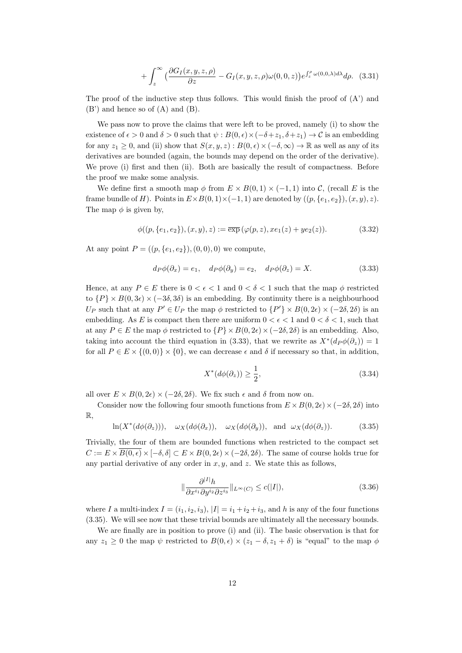$$
+\int_{z}^{\infty} \left(\frac{\partial G_{I}(x,y,z,\rho)}{\partial z} - G_{I}(x,y,z,\rho)\omega(0,0,z)\right) e^{\int_{z}^{\rho} \omega(0,0,\lambda)d\lambda} d\rho. \tag{3.31}
$$

The proof of the inductive step thus follows. This would finish the proof of  $(A')$  and (B') and hence so of (A) and (B).

We pass now to prove the claims that were left to be proved, namely (i) to show the existence of  $\epsilon > 0$  and  $\delta > 0$  such that  $\psi : B(0, \epsilon) \times (-\delta + z_1, \delta + z_1) \to C$  is an embedding for any  $z_1 \geq 0$ , and (ii) show that  $S(x, y, z) : B(0, \epsilon) \times (-\delta, \infty) \to \mathbb{R}$  as well as any of its derivatives are bounded (again, the bounds may depend on the order of the derivative). We prove (i) first and then (ii). Both are basically the result of compactness. Before the proof we make some analysis.

We define first a smooth map  $\phi$  from  $E \times B(0,1) \times (-1,1)$  into C, (recall E is the frame bundle of H). Points in  $E \times B(0,1) \times (-1,1)$  are denoted by  $((p, \{e_1, e_2\}), (x, y), z)$ . The map  $\phi$  is given by,

$$
\phi((p,\{e_1,e_2\}), (x,y), z) := \overline{\exp}(\varphi(p,z), xe_1(z) + ye_2(z)). \tag{3.32}
$$

At any point  $P = ((p, \{e_1, e_2\}), (0, 0), 0)$  we compute,

$$
d_P \phi(\partial_x) = e_1, \quad d_P \phi(\partial_y) = e_2, \quad d_P \phi(\partial_z) = X. \tag{3.33}
$$

Hence, at any  $P \in E$  there is  $0 \lt \epsilon \lt 1$  and  $0 \lt \delta \lt 1$  such that the map  $\phi$  restricted to  $\{P\} \times B(0, 3\epsilon) \times (-3\delta, 3\delta)$  is an embedding. By continuity there is a neighbourhood U<sub>P</sub> such that at any  $P' \in U_P$  the map  $\phi$  restricted to  $\{P'\}\times B(0, 2\epsilon) \times (-2\delta, 2\delta)$  is an embedding. As E is compact then there are uniform  $0 < \epsilon < 1$  and  $0 < \delta < 1$ , such that at any  $P \in E$  the map  $\phi$  restricted to  $\{P\} \times B(0, 2\epsilon) \times (-2\delta, 2\delta)$  is an embedding. Also, taking into account the third equation in (3.33), that we rewrite as  $X^*(d_P \phi(\partial_z)) = 1$ for all  $P \in E \times \{(0,0)\} \times \{0\}$ , we can decrease  $\epsilon$  and  $\delta$  if necessary so that, in addition,

$$
X^*(d\phi(\partial_z)) \ge \frac{1}{2},\tag{3.34}
$$

all over  $E \times B(0, 2\epsilon) \times (-2\delta, 2\delta)$ . We fix such  $\epsilon$  and  $\delta$  from now on.

Consider now the following four smooth functions from  $E \times B(0, 2\epsilon) \times (-2\delta, 2\delta)$  into R,

 $\ln(X^*(d\phi(\partial_z))), \quad \omega_X(d\phi(\partial_x)), \quad \omega_X(d\phi(\partial_y)), \quad \text{and} \quad \omega_X(d\phi(\partial_z)).$  (3.35)

Trivially, the four of them are bounded functions when restricted to the compact set  $C := E \times \overline{B(0,\epsilon)} \times [-\delta, \delta] \subset E \times B(0, 2\epsilon) \times (-2\delta, 2\delta)$ . The same of course holds true for any partial derivative of any order in  $x, y$ , and  $z$ . We state this as follows,

$$
\|\frac{\partial^{|I|}h}{\partial x^{i_1}\partial y^{i_2}\partial z^{i_3}}\|_{L^{\infty}(C)} \le c(|I|),
$$
\n(3.36)

where I a multi-index  $I = (i_1, i_2, i_3)$ ,  $|I| = i_1 + i_2 + i_3$ , and h is any of the four functions (3.35). We will see now that these trivial bounds are ultimately all the necessary bounds.

We are finally are in position to prove (i) and (ii). The basic observation is that for any  $z_1 \geq 0$  the map  $\psi$  restricted to  $B(0, \epsilon) \times (z_1 - \delta, z_1 + \delta)$  is "equal" to the map  $\phi$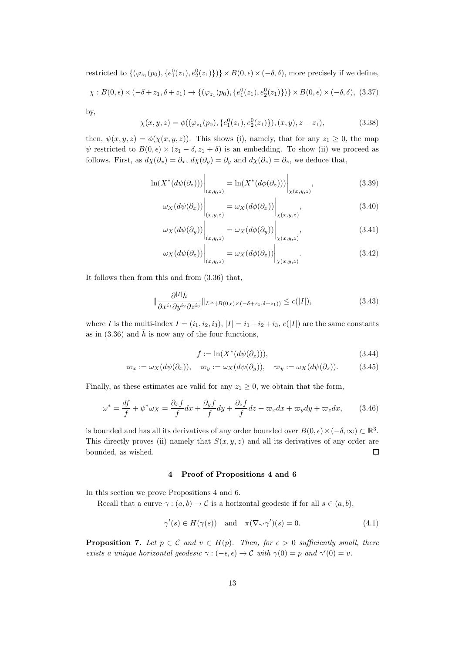restricted to  $\{(\varphi_{z_1}(p_0), \{e_1^0(z_1), e_2^0(z_1)\})\}\times B(0, \epsilon) \times (-\delta, \delta)$ , more precisely if we define,

$$
\chi: B(0, \epsilon) \times (-\delta + z_1, \delta + z_1) \to \{ (\varphi_{z_1}(p_0), \{ e_1^0(z_1), e_2^0(z_1) \}) \} \times B(0, \epsilon) \times (-\delta, \delta), (3.37)
$$

by,

$$
\chi(x, y, z) = \phi((\varphi_{z_1}(p_0), \{e_1^0(z_1), e_2^0(z_1)\}), (x, y), z - z_1),
$$
\n(3.38)

then,  $\psi(x, y, z) = \phi(\chi(x, y, z))$ . This shows (i), namely, that for any  $z_1 \geq 0$ , the map  $\psi$  restricted to  $B(0, \epsilon) \times (z_1 - \delta, z_1 + \delta)$  is an embedding. To show (ii) we proceed as follows. First, as  $d\chi(\partial_x) = \partial_x$ ,  $d\chi(\partial_y) = \partial_y$  and  $d\chi(\partial_z) = \partial_z$ , we deduce that,

$$
\ln(X^*(d\psi(\partial_z)))\Big|_{(x,y,z)} = \ln(X^*(d\phi(\partial_z)))\Big|_{\chi(x,y,z)},\tag{3.39}
$$

$$
\omega_X(d\psi(\partial_x))\Big|_{(x,y,z)} = \omega_X(d\phi(\partial_x))\Big|_{X(x,y,z)},
$$
\n(3.40)

$$
\omega_X(d\psi(\partial_y))\Big|_{(x,y,z)} = \omega_X(d\phi(\partial_y))\Big|_{\chi(x,y,z)},\tag{3.41}
$$

$$
\omega_X(d\psi(\partial_z))\Big|_{(x,y,z)} = \omega_X(d\phi(\partial_z))\Big|_{X(x,y,z)}.\tag{3.42}
$$

It follows then from this and from (3.36) that,

$$
\|\frac{\partial^{|I|}\bar{h}}{\partial x^{i_1}\partial y^{i_2}\partial z^{i_3}}\|_{L^{\infty}(B(0,\epsilon)\times(-\delta+z_1,\delta+z_1))} \leq c(|I|),\tag{3.43}
$$

where I is the multi-index  $I = (i_1, i_2, i_3), |I| = i_1 + i_2 + i_3, c(|I|)$  are the same constants as in (3.36) and  $\bar{h}$  is now any of the four functions,

$$
f := \ln(X^*(d\psi(\partial_z))),\tag{3.44}
$$

$$
\varpi_x := \omega_X(d\psi(\partial_x)), \quad \varpi_y := \omega_X(d\psi(\partial_y)), \quad \varpi_y := \omega_X(d\psi(\partial_z)). \tag{3.45}
$$

Finally, as these estimates are valid for any  $z_1 \geq 0$ , we obtain that the form,

$$
\omega^* = \frac{df}{f} + \psi^* \omega_X = \frac{\partial_x f}{f} dx + \frac{\partial_y f}{f} dy + \frac{\partial_z f}{f} dz + \omega_x dx + \omega_y dy + \omega_z dx, \qquad (3.46)
$$

is bounded and has all its derivatives of any order bounded over  $B(0, \epsilon) \times (-\delta, \infty) \subset \mathbb{R}^3$ . This directly proves (ii) namely that  $S(x, y, z)$  and all its derivatives of any order are bounded, as wished.  $\Box$ 

## 4 Proof of Propositions 4 and 6

In this section we prove Propositions 4 and 6.

Recall that a curve  $\gamma : (a, b) \to \mathcal{C}$  is a horizontal geodesic if for all  $s \in (a, b)$ ,

$$
\gamma'(s) \in H(\gamma(s)) \quad \text{and} \quad \pi(\nabla_{\gamma'}\gamma')(s) = 0. \tag{4.1}
$$

**Proposition 7.** Let  $p \in \mathcal{C}$  and  $v \in H(p)$ . Then, for  $\epsilon > 0$  sufficiently small, there exists a unique horizontal geodesic  $\gamma : (-\epsilon, \epsilon) \to C$  with  $\gamma(0) = p$  and  $\gamma'(0) = v$ .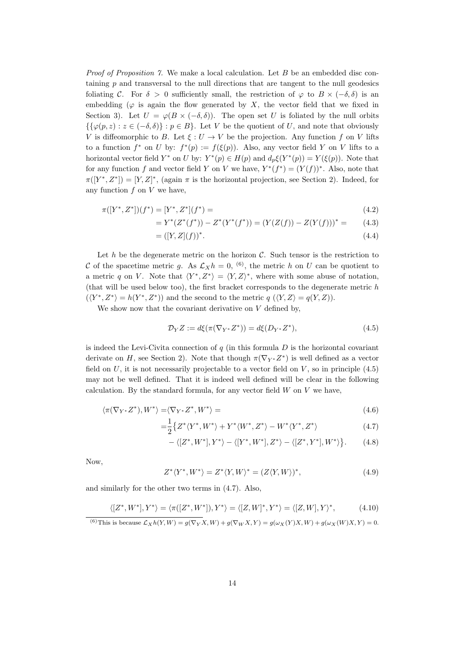*Proof of Proposition 7.* We make a local calculation. Let  $B$  be an embedded disc containing p and transversal to the null directions that are tangent to the null geodesics foliating C. For  $\delta > 0$  sufficiently small, the restriction of  $\varphi$  to  $B \times (-\delta, \delta)$  is an embedding ( $\varphi$  is again the flow generated by X, the vector field that we fixed in Section 3). Let  $U = \varphi(B \times (-\delta, \delta))$ . The open set U is foliated by the null orbits  $\{\{\varphi(p,z): z \in (-\delta, \delta)\} : p \in B\}$ . Let V be the quotient of U, and note that obviously V is diffeomorphic to B. Let  $\xi: U \to V$  be the projection. Any function f on V lifts to a function  $f^*$  on U by:  $f^*(p) := f(\xi(p))$ . Also, any vector field Y on V lifts to a horizontal vector field  $Y^*$  on U by:  $Y^*(p) \in H(p)$  and  $d_p \xi(Y^*(p)) = Y(\xi(p))$ . Note that for any function f and vector field Y on V we have,  $Y^*(f^*) = (Y(f))^*$ . Also, note that  $\pi([Y^*, Z^*]) = [Y, Z]^*,$  (again  $\pi$  is the horizontal projection, see Section 2). Indeed, for any function  $f$  on  $V$  we have,

$$
\pi([Y^*, Z^*])(f^*) = [Y^*, Z^*](f^*) = \tag{4.2}
$$

$$
=Y^*(Z^*(f^*)) - Z^*(Y^*(f^*)) = (Y(Z(f)) - Z(Y(f)))^* = (4.3)
$$

$$
= ([Y, Z](f))^*.
$$
\n(4.4)

Let h be the degenerate metric on the horizon  $\mathcal{C}$ . Such tensor is the restriction to C of the spacetime metric g. As  $\mathcal{L}_X h = 0$ , <sup>(6)</sup>, the metric h on U can be quotient to a metric q on V. Note that  $\langle Y^*, Z^* \rangle = \langle Y, Z \rangle^*$ , where with some abuse of notation, (that will be used below too), the first bracket corresponds to the degenerate metric h  $(\langle Y^*, Z^* \rangle = h(Y^*, Z^*))$  and the second to the metric  $q(\langle Y, Z \rangle = q(Y, Z)).$ 

We show now that the covariant derivative on  $V$  defined by,

$$
\mathcal{D}_Y Z := d\xi(\pi(\nabla_{Y^*} Z^*)) = d\xi(D_{Y^*} Z^*),\tag{4.5}
$$

is indeed the Levi-Civita connection of  $q$  (in this formula  $D$  is the horizontal covariant derivate on H, see Section 2). Note that though  $\pi(\nabla_{Y^*}Z^*)$  is well defined as a vector field on  $U$ , it is not necessarily projectable to a vector field on  $V$ , so in principle (4.5) may not be well defined. That it is indeed well defined will be clear in the following calculation. By the standard formula, for any vector field  $W$  on  $V$  we have,

$$
\langle \pi(\nabla_{Y^*} Z^*), W^* \rangle = \langle \nabla_{Y^*} Z^*, W^* \rangle = \tag{4.6}
$$

$$
=\frac{1}{2}\left\{Z^*\langle Y^*,W^*\rangle+Y^*\langle W^*,Z^*\rangle-W^*\langle Y^*,Z^*\rangle\right.\tag{4.7}
$$

$$
-\langle [Z^*,W^*],Y^*\rangle - \langle [Y^*,W^*],Z^*\rangle - \langle [Z^*,Y^*],W^*\rangle \big\}.
$$
 (4.8)

Now,

$$
Z^* \langle Y^*, W^* \rangle = Z^* \langle Y, W \rangle^* = (Z \langle Y, W \rangle)^*,\tag{4.9}
$$

and similarly for the other two terms in (4.7). Also,

$$
\langle [Z^*,W^*],Y^*\rangle = \langle \pi([Z^*,W^*]),Y^*\rangle = \langle [Z,W]^*,Y^*\rangle = \langle [Z,W],Y\rangle^*,\tag{4.10}
$$

$$
^{(6)}\text{This is because }\mathcal{L}_X h(Y, W) = g(\nabla_Y X, W) + g(\nabla_W X, Y) = g(\omega_X(Y)X, W) + g(\omega_X(W)X, Y) = 0.
$$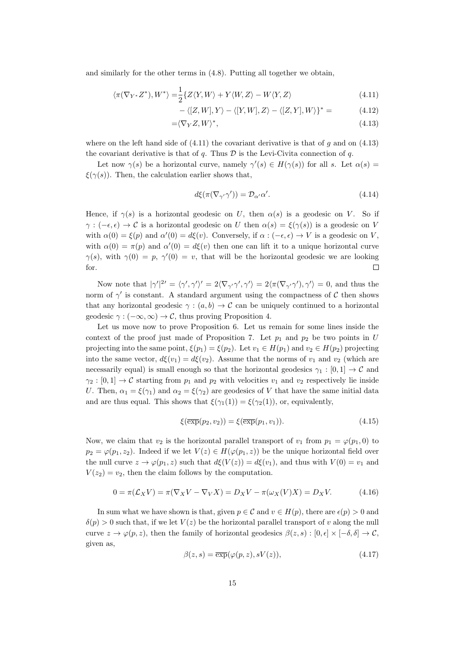and similarly for the other terms in (4.8). Putting all together we obtain,

$$
\langle \pi(\nabla_{Y^*} Z^*), W^* \rangle = \frac{1}{2} \{ Z \langle Y, W \rangle + Y \langle W, Z \rangle - W \langle Y, Z \rangle \tag{4.11}
$$

$$
-\langle [Z,W], Y \rangle - \langle [Y,W], Z \rangle - \langle [Z,Y], W \rangle \}^* = \tag{4.12}
$$

$$
=\langle \nabla_Y Z, W \rangle^*,\tag{4.13}
$$

where on the left hand side of  $(4.11)$  the covariant derivative is that of g and on  $(4.13)$ the covariant derivative is that of q. Thus  $D$  is the Levi-Civita connection of q.

Let now  $\gamma(s)$  be a horizontal curve, namely  $\gamma'(s) \in H(\gamma(s))$  for all s. Let  $\alpha(s)$  $\xi(\gamma(s))$ . Then, the calculation earlier shows that,

$$
d\xi(\pi(\nabla_{\gamma'}\gamma')) = \mathcal{D}_{\alpha'}\alpha'.\tag{4.14}
$$

Hence, if  $\gamma(s)$  is a horizontal geodesic on U, then  $\alpha(s)$  is a geodesic on V. So if  $\gamma : (-\epsilon, \epsilon) \to C$  is a horizontal geodesic on U then  $\alpha(s) = \xi(\gamma(s))$  is a geodesic on V with  $\alpha(0) = \xi(p)$  and  $\alpha'(0) = d\xi(v)$ . Conversely, if  $\alpha : (-\epsilon, \epsilon) \to V$  is a geodesic on V, with  $\alpha(0) = \pi(p)$  and  $\alpha'(0) = d\xi(v)$  then one can lift it to a unique horizontal curve  $\gamma(s)$ , with  $\gamma(0) = p$ ,  $\gamma'(0) = v$ , that will be the horizontal geodesic we are looking for.  $\Box$ 

Now note that  $|\gamma'|^{2'} = \langle \gamma', \gamma' \rangle' = 2 \langle \nabla_{\gamma'} \gamma', \gamma' \rangle = 2 \langle \pi(\nabla_{\gamma'} \gamma'), \gamma' \rangle = 0$ , and thus the norm of  $\gamma'$  is constant. A standard argument using the compactness of C then shows that any horizontal geodesic  $\gamma : (a, b) \to \mathcal{C}$  can be uniquely continued to a horizontal geodesic  $\gamma : (-\infty, \infty) \to \mathcal{C}$ , thus proving Proposition 4.

Let us move now to prove Proposition 6. Let us remain for some lines inside the context of the proof just made of Proposition 7. Let  $p_1$  and  $p_2$  be two points in U projecting into the same point,  $\xi(p_1) = \xi(p_2)$ . Let  $v_1 \in H(p_1)$  and  $v_2 \in H(p_2)$  projecting into the same vector,  $d\xi(v_1) = d\xi(v_2)$ . Assume that the norms of  $v_1$  and  $v_2$  (which are necessarily equal) is small enough so that the horizontal geodesics  $\gamma_1 : [0,1] \to \mathcal{C}$  and  $\gamma_2 : [0,1] \to \mathcal{C}$  starting from  $p_1$  and  $p_2$  with velocities  $v_1$  and  $v_2$  respectively lie inside U. Then,  $\alpha_1 = \xi(\gamma_1)$  and  $\alpha_2 = \xi(\gamma_2)$  are geodesics of V that have the same initial data and are thus equal. This shows that  $\xi(\gamma_1(1)) = \xi(\gamma_2(1))$ , or, equivalently,

$$
\xi(\overline{\exp}(p_2, v_2)) = \xi(\overline{\exp}(p_1, v_1)).\tag{4.15}
$$

Now, we claim that  $v_2$  is the horizontal parallel transport of  $v_1$  from  $p_1 = \varphi(p_1, 0)$  to  $p_2 = \varphi(p_1, z_2)$ . Indeed if we let  $V(z) \in H(\varphi(p_1, z))$  be the unique horizontal field over the null curve  $z \to \varphi(p_1, z)$  such that  $d\xi(V(z)) = d\xi(v_1)$ , and thus with  $V(0) = v_1$  and  $V(z_2) = v_2$ , then the claim follows by the computation.

$$
0 = \pi(\mathcal{L}_X V) = \pi(\nabla_X V - \nabla_V X) = D_X V - \pi(\omega_X(V)X) = D_X V.
$$
 (4.16)

In sum what we have shown is that, given  $p \in \mathcal{C}$  and  $v \in H(p)$ , there are  $\epsilon(p) > 0$  and  $\delta(p) > 0$  such that, if we let  $V(z)$  be the horizontal parallel transport of v along the null curve  $z \to \varphi(p, z)$ , then the family of horizontal geodesics  $\beta(z, s) : [0, \epsilon] \times [-\delta, \delta] \to \mathcal{C}$ , given as,

$$
\beta(z,s) = \overline{\exp}(\varphi(p,z), sV(z)),\tag{4.17}
$$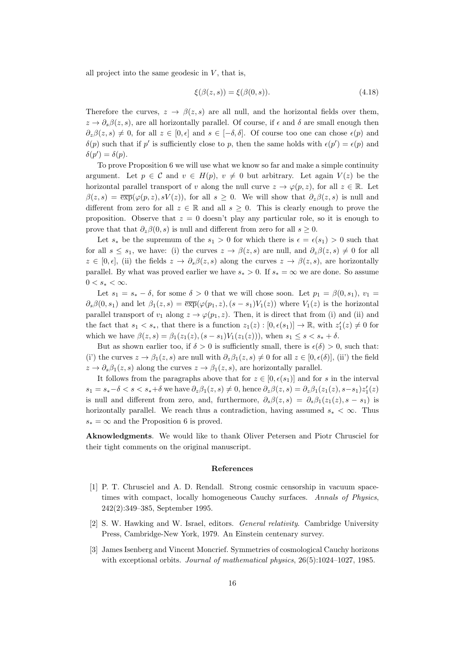all project into the same geodesic in  $V$ , that is,

$$
\xi(\beta(z,s)) = \xi(\beta(0,s)).\tag{4.18}
$$

Therefore the curves,  $z \to \beta(z, s)$  are all null, and the horizontal fields over them,  $z \to \partial_s \beta(z, s)$ , are all horizontally parallel. Of course, if  $\epsilon$  and  $\delta$  are small enough then  $\partial_z\beta(z,s) \neq 0$ , for all  $z \in [0,\epsilon]$  and  $s \in [-\delta,\delta]$ . Of course too one can chose  $\epsilon(p)$  and  $\delta(p)$  such that if p' is sufficiently close to p, then the same holds with  $\epsilon(p') = \epsilon(p)$  and  $\delta(p') = \delta(p).$ 

To prove Proposition 6 we will use what we know so far and make a simple continuity argument. Let  $p \in \mathcal{C}$  and  $v \in H(p)$ ,  $v \neq 0$  but arbitrary. Let again  $V(z)$  be the horizontal parallel transport of v along the null curve  $z \to \varphi(p, z)$ , for all  $z \in \mathbb{R}$ . Let  $\beta(z,s) = \exp(\varphi(p,z), sV(z))$ , for all  $s \geq 0$ . We will show that  $\partial_z \beta(z,s)$  is null and different from zero for all  $z \in \mathbb{R}$  and all  $s \geq 0$ . This is clearly enough to prove the proposition. Observe that  $z = 0$  doesn't play any particular role, so it is enough to prove that that  $\partial_z \beta(0, s)$  is null and different from zero for all  $s \geq 0$ .

Let  $s_*$  be the supremum of the  $s_1 > 0$  for which there is  $\epsilon = \epsilon(s_1) > 0$  such that for all  $s \leq s_1$ , we have: (i) the curves  $z \to \beta(z, s)$  are null, and  $\partial_z \beta(z, s) \neq 0$  for all  $z \in [0, \epsilon],$  (ii) the fields  $z \to \partial_s \beta(z, s)$  along the curves  $z \to \beta(z, s)$ , are horizontally parallel. By what was proved earlier we have  $s_* > 0$ . If  $s_* = \infty$  we are done. So assume  $0 < s_* < \infty$ .

Let  $s_1 = s_* - \delta$ , for some  $\delta > 0$  that we will chose soon. Let  $p_1 = \beta(0, s_1), v_1 =$  $\partial_s\beta(0,s_1)$  and let  $\beta_1(z,s) = \overline{\exp}(\varphi(p_1,z), (s-s_1)V_1(z))$  where  $V_1(z)$  is the horizontal parallel transport of  $v_1$  along  $z \to \varphi(p_1, z)$ . Then, it is direct that from (i) and (ii) and the fact that  $s_1 < s_*$ , that there is a function  $z_1(z) : [0, \epsilon(s_1)] \to \mathbb{R}$ , with  $z'_1(z) \neq 0$  for which we have  $\beta(z, s) = \beta_1(z_1(z), (s - s_1)V_1(z_1(z)))$ , when  $s_1 \leq s < s_* + \delta$ .

But as shown earlier too, if  $\delta > 0$  is sufficiently small, there is  $\epsilon(\delta) > 0$ , such that: (i') the curves  $z \to \beta_1(z, s)$  are null with  $\partial_z \beta_1(z, s) \neq 0$  for all  $z \in [0, \epsilon(\delta)],$  (ii') the field  $z \to \partial_s \beta_1(z, s)$  along the curves  $z \to \beta_1(z, s)$ , are horizontally parallel.

It follows from the paragraphs above that for  $z \in [0, \epsilon(s_1)]$  and for s in the interval  $s_1 = s_*-\delta < s < s_*+\delta$  we have  $\partial_z\beta_1(z,s) \neq 0$ , hence  $\partial_z\beta(z,s) = \partial_z\beta_1(z_1(z),s-s_1)z'_1(z)$ is null and different from zero, and, furthermore,  $\partial_s \beta(z,s) = \partial_s \beta_1(z_1(z), s - s_1)$  is horizontally parallel. We reach thus a contradiction, having assumed  $s_* < \infty$ . Thus  $s_* = \infty$  and the Proposition 6 is proved.

Aknowledgments. We would like to thank Oliver Petersen and Piotr Chrusciel for their tight comments on the original manuscript.

#### References

- [1] P. T. Chrusciel and A. D. Rendall. Strong cosmic censorship in vacuum spacetimes with compact, locally homogeneous Cauchy surfaces. Annals of Physics, 242(2):349–385, September 1995.
- [2] S. W. Hawking and W. Israel, editors. General relativity. Cambridge University Press, Cambridge-New York, 1979. An Einstein centenary survey.
- [3] James Isenberg and Vincent Moncrief. Symmetries of cosmological Cauchy horizons with exceptional orbits. Journal of mathematical physics,  $26(5):1024-1027$ , 1985.